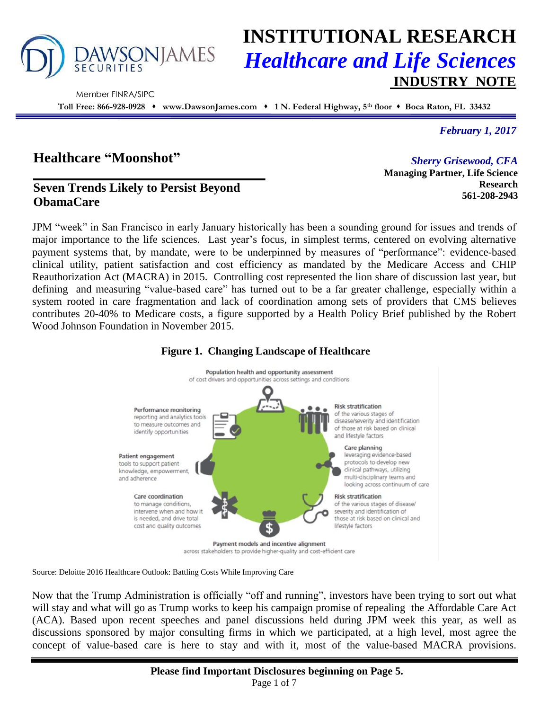

# **INSTITUTIONAL RESEARCH** *Healthcare and Life Sciences* **INDUSTRY NOTE**

Member FINRA/SIPC

**Toll Free: 866-928-0928 www.DawsonJames.com 1 N. Federal Highway, 5th floor Boca Raton, FL 33432**

*February 1, 2017*

**Research 561-208-2943**

*Sherry Grisewood, CFA* **Managing Partner, Life Science** 

## **Healthcare "Moonshot"**

## **Seven Trends Likely to Persist Beyond ObamaCare**

JPM "week" in San Francisco in early January historically has been a sounding ground for issues and trends of major importance to the life sciences. Last year's focus, in simplest terms, centered on evolving alternative payment systems that, by mandate, were to be underpinned by measures of "performance": evidence-based clinical utility, patient satisfaction and cost efficiency as mandated by the Medicare Access and CHIP Reauthorization Act (MACRA) in 2015. Controlling cost represented the lion share of discussion last year, but defining and measuring "value-based care" has turned out to be a far greater challenge, especially within a system rooted in care fragmentation and lack of coordination among sets of providers that CMS believes contributes 20-40% to Medicare costs, a figure supported by a Health Policy Brief published by the Robert Wood Johnson Foundation in November 2015.



#### **Figure 1. Changing Landscape of Healthcare**

Source: Deloitte 2016 Healthcare Outlook: Battling Costs While Improving Care

Now that the Trump Administration is officially "off and running", investors have been trying to sort out what will stay and what will go as Trump works to keep his campaign promise of repealing the Affordable Care Act (ACA). Based upon recent speeches and panel discussions held during JPM week this year, as well as discussions sponsored by major consulting firms in which we participated, at a high level, most agree the concept of value-based care is here to stay and with it, most of the value-based MACRA provisions.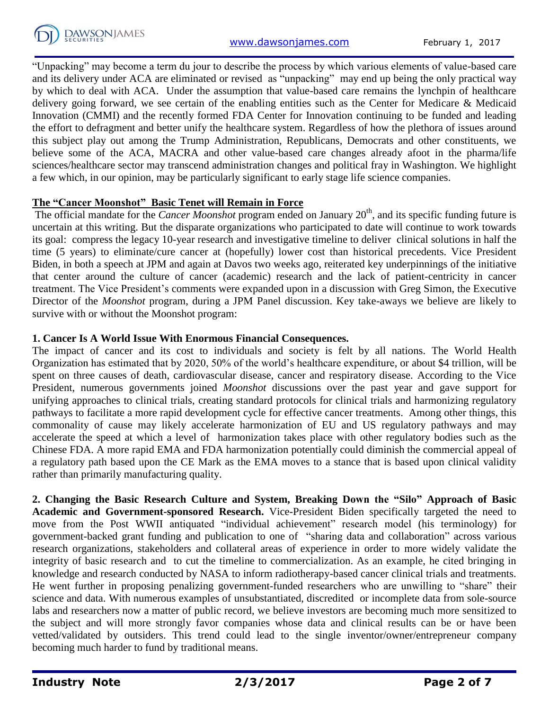

"Unpacking" may become a term du jour to describe the process by which various elements of value-based care and its delivery under ACA are eliminated or revised as "unpacking" may end up being the only practical way by which to deal with ACA. Under the assumption that value-based care remains the lynchpin of healthcare delivery going forward, we see certain of the enabling entities such as the Center for Medicare & Medicaid Innovation (CMMI) and the recently formed FDA Center for Innovation continuing to be funded and leading the effort to defragment and better unify the healthcare system. Regardless of how the plethora of issues around this subject play out among the Trump Administration, Republicans, Democrats and other constituents, we believe some of the ACA, MACRA and other value-based care changes already afoot in the pharma/life sciences/healthcare sector may transcend administration changes and political fray in Washington. We highlight a few which, in our opinion, may be particularly significant to early stage life science companies.

#### **The "Cancer Moonshot" Basic Tenet will Remain in Force**

The official mandate for the *Cancer Moonshot* program ended on January 20<sup>th</sup>, and its specific funding future is uncertain at this writing. But the disparate organizations who participated to date will continue to work towards its goal: compress the legacy 10-year research and investigative timeline to deliver clinical solutions in half the time (5 years) to eliminate/cure cancer at (hopefully) lower cost than historical precedents. Vice President Biden, in both a speech at JPM and again at Davos two weeks ago, reiterated key underpinnings of the initiative that center around the culture of cancer (academic) research and the lack of patient-centricity in cancer treatment. The Vice President's comments were expanded upon in a discussion with Greg Simon, the Executive Director of the *Moonshot* program, during a JPM Panel discussion. Key take-aways we believe are likely to survive with or without the Moonshot program:

#### **1. Cancer Is A World Issue With Enormous Financial Consequences.**

The impact of cancer and its cost to individuals and society is felt by all nations. The World Health Organization has estimated that by 2020, 50% of the world's healthcare expenditure, or about \$4 trillion, will be spent on three causes of death, cardiovascular disease, cancer and respiratory disease. According to the Vice President, numerous governments joined *Moonshot* discussions over the past year and gave support for unifying approaches to clinical trials, creating standard protocols for clinical trials and harmonizing regulatory pathways to facilitate a more rapid development cycle for effective cancer treatments. Among other things, this commonality of cause may likely accelerate harmonization of EU and US regulatory pathways and may accelerate the speed at which a level of harmonization takes place with other regulatory bodies such as the Chinese FDA. A more rapid EMA and FDA harmonization potentially could diminish the commercial appeal of a regulatory path based upon the CE Mark as the EMA moves to a stance that is based upon clinical validity rather than primarily manufacturing quality.

**2. Changing the Basic Research Culture and System, Breaking Down the "Silo" Approach of Basic Academic and Government-sponsored Research.** Vice-President Biden specifically targeted the need to move from the Post WWII antiquated "individual achievement" research model (his terminology) for government-backed grant funding and publication to one of "sharing data and collaboration" across various research organizations, stakeholders and collateral areas of experience in order to more widely validate the integrity of basic research and to cut the timeline to commercialization. As an example, he cited bringing in knowledge and research conducted by NASA to inform radiotherapy-based cancer clinical trials and treatments. He went further in proposing penalizing government-funded researchers who are unwilling to "share" their science and data. With numerous examples of unsubstantiated, discredited or incomplete data from sole-source labs and researchers now a matter of public record, we believe investors are becoming much more sensitized to the subject and will more strongly favor companies whose data and clinical results can be or have been vetted/validated by outsiders. This trend could lead to the single inventor/owner/entrepreneur company becoming much harder to fund by traditional means.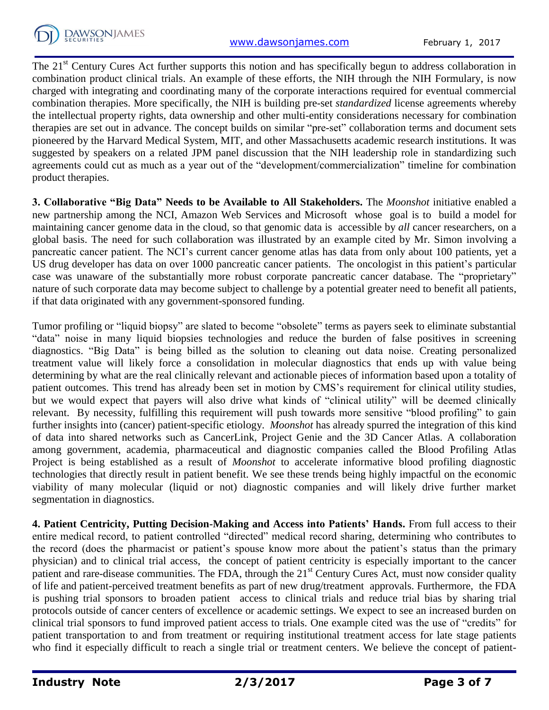The 21<sup>st</sup> Century Cures Act further supports this notion and has specifically begun to address collaboration in combination product clinical trials. An example of these efforts, the NIH through the NIH Formulary, is now charged with integrating and coordinating many of the corporate interactions required for eventual commercial combination therapies. More specifically, the NIH is building pre-set *standardized* license agreements whereby the intellectual property rights, data ownership and other multi-entity considerations necessary for combination therapies are set out in advance. The concept builds on similar "pre-set" collaboration terms and document sets pioneered by the Harvard Medical System, MIT, and other Massachusetts academic research institutions. It was suggested by speakers on a related JPM panel discussion that the NIH leadership role in standardizing such agreements could cut as much as a year out of the "development/commercialization" timeline for combination product therapies.

**3. Collaborative "Big Data" Needs to be Available to All Stakeholders.** The *Moonshot* initiative enabled a new partnership among the NCI, Amazon Web Services and Microsoft whose goal is to build a model for maintaining cancer genome data in the cloud, so that genomic data is accessible by *all* cancer researchers, on a global basis. The need for such collaboration was illustrated by an example cited by Mr. Simon involving a pancreatic cancer patient. The NCI's current cancer genome atlas has data from only about 100 patients, yet a US drug developer has data on over 1000 pancreatic cancer patients. The oncologist in this patient's particular case was unaware of the substantially more robust corporate pancreatic cancer database. The "proprietary" nature of such corporate data may become subject to challenge by a potential greater need to benefit all patients, if that data originated with any government-sponsored funding.

Tumor profiling or "liquid biopsy" are slated to become "obsolete" terms as payers seek to eliminate substantial "data" noise in many liquid biopsies technologies and reduce the burden of false positives in screening diagnostics. "Big Data" is being billed as the solution to cleaning out data noise. Creating personalized treatment value will likely force a consolidation in molecular diagnostics that ends up with value being determining by what are the real clinically relevant and actionable pieces of information based upon a totality of patient outcomes. This trend has already been set in motion by CMS's requirement for clinical utility studies, but we would expect that payers will also drive what kinds of "clinical utility" will be deemed clinically relevant. By necessity, fulfilling this requirement will push towards more sensitive "blood profiling" to gain further insights into (cancer) patient-specific etiology. *Moonshot* has already spurred the integration of this kind of data into shared networks such as CancerLink, Project Genie and the 3D Cancer Atlas. A collaboration among government, academia, pharmaceutical and diagnostic companies called the Blood Profiling Atlas Project is being established as a result of *Moonshot* to accelerate informative blood profiling diagnostic technologies that directly result in patient benefit. We see these trends being highly impactful on the economic viability of many molecular (liquid or not) diagnostic companies and will likely drive further market segmentation in diagnostics.

**4. Patient Centricity, Putting Decision-Making and Access into Patients' Hands.** From full access to their entire medical record, to patient controlled "directed" medical record sharing, determining who contributes to the record (does the pharmacist or patient's spouse know more about the patient's status than the primary physician) and to clinical trial access, the concept of patient centricity is especially important to the cancer patient and rare-disease communities. The FDA, through the 21<sup>st</sup> Century Cures Act, must now consider quality of life and patient-perceived treatment benefits as part of new drug/treatment approvals. Furthermore, the FDA is pushing trial sponsors to broaden patient access to clinical trials and reduce trial bias by sharing trial protocols outside of cancer centers of excellence or academic settings. We expect to see an increased burden on clinical trial sponsors to fund improved patient access to trials. One example cited was the use of "credits" for patient transportation to and from treatment or requiring institutional treatment access for late stage patients who find it especially difficult to reach a single trial or treatment centers. We believe the concept of patient-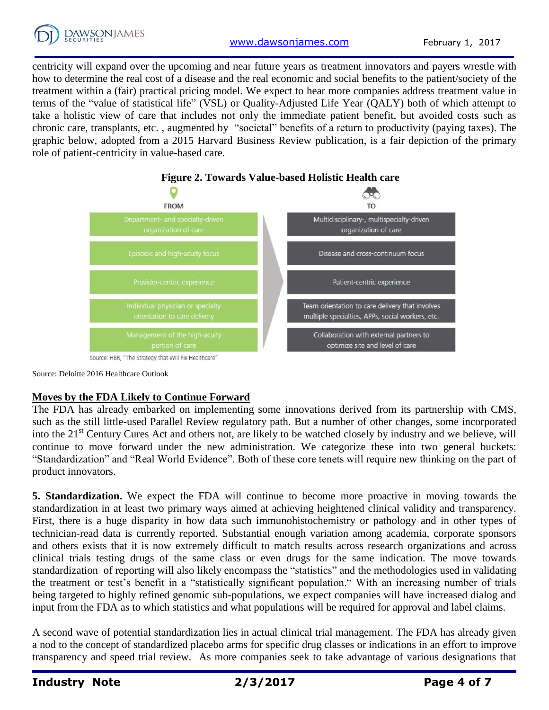

centricity will expand over the upcoming and near future years as treatment innovators and payers wrestle with how to determine the real cost of a disease and the real economic and social benefits to the patient/society of the treatment within a (fair) practical pricing model. We expect to hear more companies address treatment value in terms of the "value of statistical life" (VSL) or Quality-Adjusted Life Year (QALY) both of which attempt to take a holistic view of care that includes not only the immediate patient benefit, but avoided costs such as chronic care, transplants, etc. , augmented by "societal" benefits of a return to productivity (paying taxes). The graphic below, adopted from a 2015 Harvard Business Review publication, is a fair depiction of the primary role of patient-centricity in value-based care.



Source: Deloitte 2016 Healthcare Outlook

#### **Moves by the FDA Likely to Continue Forward**

The FDA has already embarked on implementing some innovations derived from its partnership with CMS, such as the still little-used Parallel Review regulatory path. But a number of other changes, some incorporated into the 21<sup>st</sup> Century Cures Act and others not, are likely to be watched closely by industry and we believe, will continue to move forward under the new administration. We categorize these into two general buckets: "Standardization" and "Real World Evidence". Both of these core tenets will require new thinking on the part of product innovators.

**5. Standardization.** We expect the FDA will continue to become more proactive in moving towards the standardization in at least two primary ways aimed at achieving heightened clinical validity and transparency. First, there is a huge disparity in how data such immunohistochemistry or pathology and in other types of technician-read data is currently reported. Substantial enough variation among academia, corporate sponsors and others exists that it is now extremely difficult to match results across research organizations and across clinical trials testing drugs of the same class or even drugs for the same indication. The move towards standardization of reporting will also likely encompass the "statistics" and the methodologies used in validating the treatment or test's benefit in a "statistically significant population." With an increasing number of trials being targeted to highly refined genomic sub-populations, we expect companies will have increased dialog and input from the FDA as to which statistics and what populations will be required for approval and label claims.

A second wave of potential standardization lies in actual clinical trial management. The FDA has already given a nod to the concept of standardized placebo arms for specific drug classes or indications in an effort to improve transparency and speed trial review. As more companies seek to take advantage of various designations that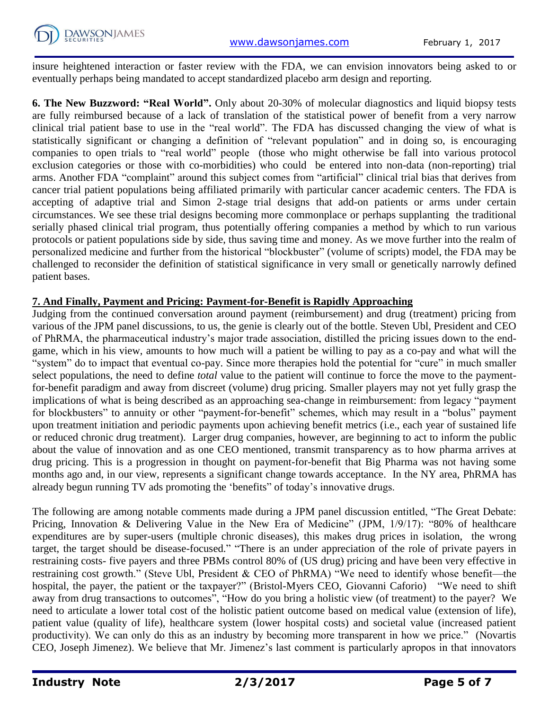insure heightened interaction or faster review with the FDA, we can envision innovators being asked to or eventually perhaps being mandated to accept standardized placebo arm design and reporting.

**6. The New Buzzword: "Real World".** Only about 20-30% of molecular diagnostics and liquid biopsy tests are fully reimbursed because of a lack of translation of the statistical power of benefit from a very narrow clinical trial patient base to use in the "real world". The FDA has discussed changing the view of what is statistically significant or changing a definition of "relevant population" and in doing so, is encouraging companies to open trials to "real world" people (those who might otherwise be fall into various protocol exclusion categories or those with co-morbidities) who could be entered into non-data (non-reporting) trial arms. Another FDA "complaint" around this subject comes from "artificial" clinical trial bias that derives from cancer trial patient populations being affiliated primarily with particular cancer academic centers. The FDA is accepting of adaptive trial and Simon 2-stage trial designs that add-on patients or arms under certain circumstances. We see these trial designs becoming more commonplace or perhaps supplanting the traditional serially phased clinical trial program, thus potentially offering companies a method by which to run various protocols or patient populations side by side, thus saving time and money. As we move further into the realm of personalized medicine and further from the historical "blockbuster" (volume of scripts) model, the FDA may be challenged to reconsider the definition of statistical significance in very small or genetically narrowly defined patient bases.

#### **7. And Finally, Payment and Pricing: Payment-for-Benefit is Rapidly Approaching**

Judging from the continued conversation around payment (reimbursement) and drug (treatment) pricing from various of the JPM panel discussions, to us, the genie is clearly out of the bottle. Steven Ubl, President and CEO of PhRMA, the pharmaceutical industry's major trade association, distilled the pricing issues down to the endgame, which in his view, amounts to how much will a patient be willing to pay as a co-pay and what will the "system" do to impact that eventual co-pay. Since more therapies hold the potential for "cure" in much smaller select populations, the need to define *total* value to the patient will continue to force the move to the paymentfor-benefit paradigm and away from discreet (volume) drug pricing. Smaller players may not yet fully grasp the implications of what is being described as an approaching sea-change in reimbursement: from legacy "payment for blockbusters" to annuity or other "payment-for-benefit" schemes, which may result in a "bolus" payment upon treatment initiation and periodic payments upon achieving benefit metrics (i.e., each year of sustained life or reduced chronic drug treatment). Larger drug companies, however, are beginning to act to inform the public about the value of innovation and as one CEO mentioned, transmit transparency as to how pharma arrives at drug pricing. This is a progression in thought on payment-for-benefit that Big Pharma was not having some months ago and, in our view, represents a significant change towards acceptance. In the NY area, PhRMA has already begun running TV ads promoting the 'benefits" of today's innovative drugs.

The following are among notable comments made during a JPM panel discussion entitled, "The Great Debate: Pricing, Innovation & Delivering Value in the New Era of Medicine" (JPM, 1/9/17): "80% of healthcare expenditures are by super-users (multiple chronic diseases), this makes drug prices in isolation, the wrong target, the target should be disease-focused." "There is an under appreciation of the role of private payers in restraining costs- five payers and three PBMs control 80% of (US drug) pricing and have been very effective in restraining cost growth." (Steve Ubl, President & CEO of PhRMA) "We need to identify whose benefit—the hospital, the payer, the patient or the taxpayer?" (Bristol-Myers CEO, Giovanni Caforio) "We need to shift away from drug transactions to outcomes", "How do you bring a holistic view (of treatment) to the payer? We need to articulate a lower total cost of the holistic patient outcome based on medical value (extension of life), patient value (quality of life), healthcare system (lower hospital costs) and societal value (increased patient productivity). We can only do this as an industry by becoming more transparent in how we price." (Novartis CEO, Joseph Jimenez). We believe that Mr. Jimenez's last comment is particularly apropos in that innovators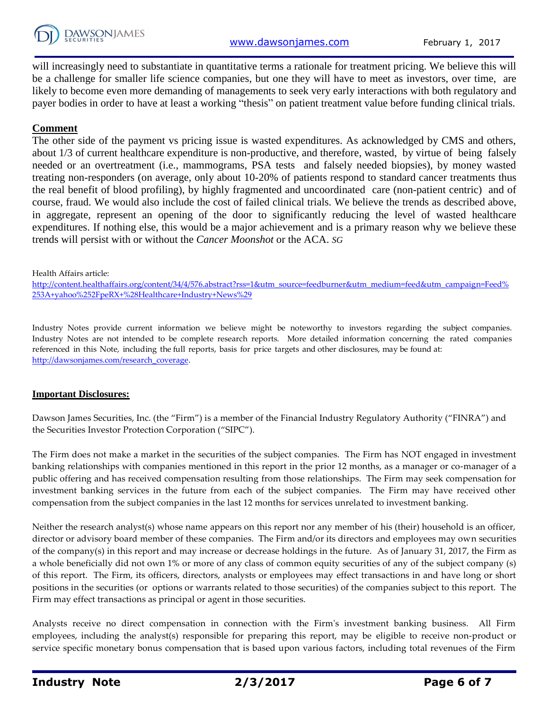

will increasingly need to substantiate in quantitative terms a rationale for treatment pricing. We believe this will be a challenge for smaller life science companies, but one they will have to meet as investors, over time, are likely to become even more demanding of managements to seek very early interactions with both regulatory and payer bodies in order to have at least a working "thesis" on patient treatment value before funding clinical trials.

#### **Comment**

The other side of the payment vs pricing issue is wasted expenditures. As acknowledged by CMS and others, about 1/3 of current healthcare expenditure is non-productive, and therefore, wasted, by virtue of being falsely needed or an overtreatment (i.e., mammograms, PSA tests and falsely needed biopsies), by money wasted treating non-responders (on average, only about 10-20% of patients respond to standard cancer treatments thus the real benefit of blood profiling), by highly fragmented and uncoordinated care (non-patient centric) and of course, fraud. We would also include the cost of failed clinical trials. We believe the trends as described above, in aggregate, represent an opening of the door to significantly reducing the level of wasted healthcare expenditures. If nothing else, this would be a major achievement and is a primary reason why we believe these trends will persist with or without the *Cancer Moonshot* or the ACA. *SG*

Health Affairs article:

[http://content.healthaffairs.org/content/34/4/576.abstract?rss=1&utm\\_source=feedburner&utm\\_medium=feed&utm\\_campaign=Feed%](http://content.healthaffairs.org/content/34/4/576.abstract?rss=1&utm_source=feedburner&utm_medium=feed&utm_campaign=Feed%253A+yahoo%252FpeRX+%28Healthcare+Industry+News%29) [253A+yahoo%252FpeRX+%28Healthcare+Industry+News%29](http://content.healthaffairs.org/content/34/4/576.abstract?rss=1&utm_source=feedburner&utm_medium=feed&utm_campaign=Feed%253A+yahoo%252FpeRX+%28Healthcare+Industry+News%29)

Industry Notes provide current information we believe might be noteworthy to investors regarding the subject companies. Industry Notes are not intended to be complete research reports. More detailed information concerning the rated companies referenced in this Note, including the full reports, basis for price targets and other disclosures, may be found at: [http://dawsonjames.com/research\\_coverage.](http://dawsonjames.com/research_coverage)

#### **Important Disclosures:**

Dawson James Securities, Inc. (the "Firm") is a member of the Financial Industry Regulatory Authority ("FINRA") and the Securities Investor Protection Corporation ("SIPC").

The Firm does not make a market in the securities of the subject companies. The Firm has NOT engaged in investment banking relationships with companies mentioned in this report in the prior 12 months, as a manager or co-manager of a public offering and has received compensation resulting from those relationships. The Firm may seek compensation for investment banking services in the future from each of the subject companies. The Firm may have received other compensation from the subject companies in the last 12 months for services unrelated to investment banking.

Neither the research analyst(s) whose name appears on this report nor any member of his (their) household is an officer, director or advisory board member of these companies. The Firm and/or its directors and employees may own securities of the company(s) in this report and may increase or decrease holdings in the future. As of January 31, 2017, the Firm as a whole beneficially did not own 1% or more of any class of common equity securities of any of the subject company (s) of this report. The Firm, its officers, directors, analysts or employees may effect transactions in and have long or short positions in the securities (or options or warrants related to those securities) of the companies subject to this report. The Firm may effect transactions as principal or agent in those securities.

Analysts receive no direct compensation in connection with the Firm's investment banking business. All Firm employees, including the analyst(s) responsible for preparing this report, may be eligible to receive non-product or service specific monetary bonus compensation that is based upon various factors, including total revenues of the Firm